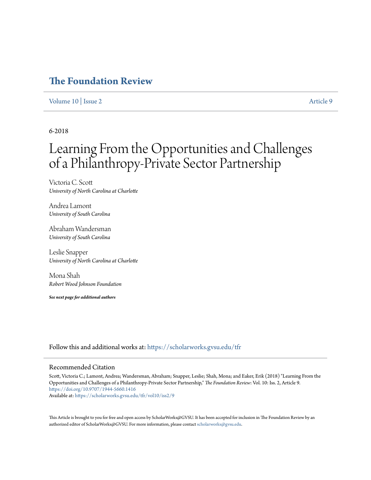## **[The Foundation Review](https://scholarworks.gvsu.edu/tfr?utm_source=scholarworks.gvsu.edu%2Ftfr%2Fvol10%2Fiss2%2F9&utm_medium=PDF&utm_campaign=PDFCoverPages)**

## [Volume 10](https://scholarworks.gvsu.edu/tfr/vol10?utm_source=scholarworks.gvsu.edu%2Ftfr%2Fvol10%2Fiss2%2F9&utm_medium=PDF&utm_campaign=PDFCoverPages) | [Issue 2](https://scholarworks.gvsu.edu/tfr/vol10/iss2?utm_source=scholarworks.gvsu.edu%2Ftfr%2Fvol10%2Fiss2%2F9&utm_medium=PDF&utm_campaign=PDFCoverPages) [Article 9](https://scholarworks.gvsu.edu/tfr/vol10/iss2/9?utm_source=scholarworks.gvsu.edu%2Ftfr%2Fvol10%2Fiss2%2F9&utm_medium=PDF&utm_campaign=PDFCoverPages)

## 6-2018

# Learning From the Opportunities and Challenges of a Philanthropy-Private Sector Partnership

Victoria C. Scott *University of North Carolina at Charlotte*

Andrea Lamont *University of South Carolina*

Abraham Wandersman *University of South Carolina*

Leslie Snapper *University of North Carolina at Charlotte*

Mona Shah *Robert Wood Johnson Foundation*

*See next page for additional authors*

Follow this and additional works at: [https://scholarworks.gvsu.edu/tfr](https://scholarworks.gvsu.edu/tfr?utm_source=scholarworks.gvsu.edu%2Ftfr%2Fvol10%2Fiss2%2F9&utm_medium=PDF&utm_campaign=PDFCoverPages)

#### Recommended Citation

Scott, Victoria C.; Lamont, Andrea; Wandersman, Abraham; Snapper, Leslie; Shah, Mona; and Eaker, Erik (2018) "Learning From the Opportunities and Challenges of a Philanthropy-Private Sector Partnership," *The Foundation Review*: Vol. 10: Iss. 2, Article 9. <https://doi.org/10.9707/1944-5660.1416> Available at: [https://scholarworks.gvsu.edu/tfr/vol10/iss2/9](https://scholarworks.gvsu.edu/tfr/vol10/iss2/9?utm_source=scholarworks.gvsu.edu%2Ftfr%2Fvol10%2Fiss2%2F9&utm_medium=PDF&utm_campaign=PDFCoverPages)

This Article is brought to you for free and open access by ScholarWorks@GVSU. It has been accepted for inclusion in The Foundation Review by an authorized editor of ScholarWorks@GVSU. For more information, please contact [scholarworks@gvsu.edu](mailto:scholarworks@gvsu.edu).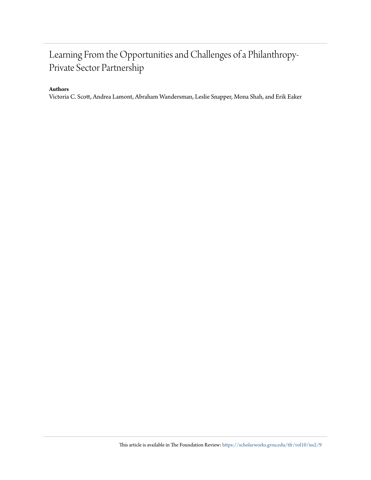## Learning From the Opportunities and Challenges of a Philanthropy-Private Sector Partnership

## **Authors**

Victoria C. Scott, Andrea Lamont, Abraham Wandersman, Leslie Snapper, Mona Shah, and Erik Eaker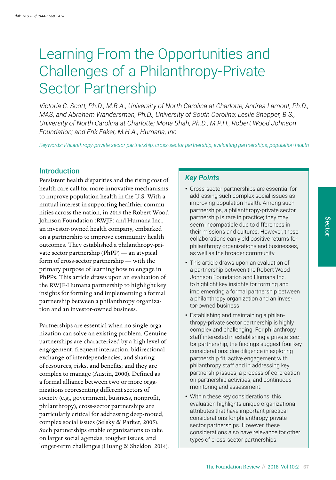# Learning From the Opportunities and Challenges of a Philanthropy-Private Sector Partnership

*Victoria C. Scott, Ph.D., M.B.A., University of North Carolina at Charlotte; Andrea Lamont, Ph.D., MAS, and Abraham Wandersman, Ph.D., University of South Carolina; Leslie Snapper, B.S., University of North Carolina at Charlotte; Mona Shah, Ph.D., M.P.H., Robert Wood Johnson Foundation; and Erik Eaker, M.H.A., Humana, Inc.*

*Keywords: Philanthropy-private sector partnership, cross-sector partnership, evaluating partnerships, population health*

#### **Introduction**

Persistent health disparities and the rising cost of health care call for more innovative mechanisms to improve population health in the U.S. With a mutual interest in supporting healthier communities across the nation, in 2015 the Robert Wood Johnson Foundation (RWJF) and Humana Inc., an investor-owned health company, embarked on a partnership to improve community health outcomes. They established a philanthropy-private sector partnership (PhPP) — an atypical form of cross-sector partnership — with the primary purpose of learning how to engage in PhPPs. This article draws upon an evaluation of the RWJF-Humana partnership to highlight key insights for forming and implementing a formal partnership between a philanthropy organization and an investor-owned business.

Partnerships are essential when no single organization can solve an existing problem. Genuine partnerships are characterized by a high level of engagement, frequent interaction, bidirectional exchange of interdependencies, and sharing of resources, risks, and benefits; and they are complex to manage (Austin, 2000). Defined as a formal alliance between two or more organizations representing different sectors of society (e.g., government, business, nonprofit, philanthropy), cross-sector partnerships are particularly critical for addressing deep-rooted, complex social issues (Selsky & Parker, 2005). Such partnerships enable organizations to take on larger social agendas, tougher issues, and longer-term challenges (Huang & Sheldon, 2014).

#### *Key Points*

- Cross-sector partnerships are essential for addressing such complex social issues as improving population health. Among such partnerships, a philanthropy-private sector partnership is rare in practice; they may seem incompatible due to differences in their missions and cultures. However, these collaborations can yield positive returns for philanthropy organizations and businesses, as well as the broader community.
- This article draws upon an evaluation of a partnership between the Robert Wood Johnson Foundation and Humana Inc. to highlight key insights for forming and implementing a formal partnership between a philanthropy organization and an investor-owned business.
- Establishing and maintaining a philanthropy-private sector partnership is highly complex and challenging. For philanthropy staff interested in establishing a private-sector partnership, the findings suggest four key considerations: due diligence in exploring partnership fit, active engagement with philanthropy staff and in addressing key partnership issues, a process of co-creation on partnership activities, and continuous monitoring and assessment.
- Within these key considerations, this evaluation highlights unique organizational attributes that have important practical considerations for philanthropy-private sector partnerships. However, these considerations also have relevance for other types of cross-sector partnerships.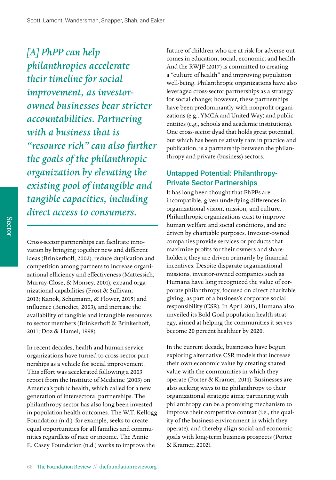*[A] PhPP can help philanthropies accelerate their timeline for social improvement, as investorowned businesses bear stricter accountabilities. Partnering with a business that is "resource rich" can also further the goals of the philanthropic organization by elevating the existing pool of intangible and tangible capacities, including direct access to consumers.*

Cross-sector partnerships can facilitate innovation by bringing together new and different ideas (Brinkerhoff, 2002), reduce duplication and competition among partners to increase organizational efficiency and effectiveness (Mattessich, Murray-Close, & Monsey, 2001), expand organizational capabilities (Frost & Sullivan, 2013; Kanok, Schumann, & Flower, 2015) and influence (Benedict, 2003), and increase the availability of tangible and intangible resources to sector members (Brinkerhoff & Brinkerhoff, 2011; Doz & Hamel, 1998).

In recent decades, health and human service organizations have turned to cross-sector partnerships as a vehicle for social improvement. This effort was accelerated following a 2003 report from the Institute of Medicine (2003) on America's public health, which called for a new generation of intersectoral partnerships. The philanthropy sector has also long been invested in population health outcomes. The W.T. Kellogg Foundation (n.d.), for example, seeks to create equal opportunities for all families and communities regardless of race or income. The Annie E. Casey Foundation (n.d.) works to improve the

future of children who are at risk for adverse outcomes in education, social, economic, and health. And the RWJF (2017) is committed to creating a "culture of health" and improving population well-being. Philanthropic organizations have also leveraged cross-sector partnerships as a strategy for social change; however, these partnerships have been predominantly with nonprofit organizations (e.g., YMCA and United Way) and public entities (e.g., schools and academic institutions). One cross-sector dyad that holds great potential, but which has been relatively rare in practice and publication, is a partnership between the philanthropy and private (business) sectors.

## Untapped Potential: Philanthropy-Private Sector Partnerships

It has long been thought that PhPPs are incompatible, given underlying differences in organizational vision, mission, and culture. Philanthropic organizations exist to improve human welfare and social conditions, and are driven by charitable purposes. Investor-owned companies provide services or products that maximize profits for their owners and shareholders; they are driven primarily by financial incentives. Despite disparate organizational missions, investor-owned companies such as Humana have long recognized the value of corporate philanthropy, focused on direct charitable giving, as part of a business's corporate social responsibility (CSR). In April 2015, Humana also unveiled its Bold Goal population health strategy, aimed at helping the communities it serves become 20 percent healthier by 2020.

In the current decade, businesses have begun exploring alternative CSR models that increase their own economic value by creating shared value with the communities in which they operate (Porter & Kramer, 2011). Businesses are also seeking ways to tie philanthropy to their organizational strategic aims; partnering with philanthropy can be a promising mechanism to improve their competitive context (i.e., the quality of the business environment in which they operate), and thereby align social and economic goals with long-term business prospects (Porter & Kramer, 2002).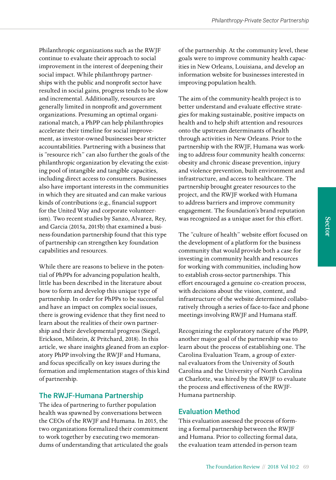Philanthropic organizations such as the RWJF continue to evaluate their approach to social improvement in the interest of deepening their social impact. While philanthropy partnerships with the public and nonprofit sector have resulted in social gains, progress tends to be slow and incremental. Additionally, resources are generally limited in nonprofit and government organizations. Presuming an optimal organizational match, a PhPP can help philanthropies accelerate their timeline for social improvement, as investor-owned businesses bear stricter accountabilities. Partnering with a business that is "resource rich" can also further the goals of the philanthropic organization by elevating the existing pool of intangible and tangible capacities, including direct access to consumers. Businesses also have important interests in the communities in which they are situated and can make various kinds of contributions (e.g., financial support for the United Way and corporate volunteerism). Two recent studies by Sanzo, Alvarez, Rey, and Garcia (2015a, 2015b) that examined a business-foundation partnership found that this type of partnership can strengthen key foundation capabilities and resources.

While there are reasons to believe in the potential of PhPPs for advancing population health, little has been described in the literature about how to form and develop this unique type of partnership. In order for PhPPs to be successful and have an impact on complex social issues, there is growing evidence that they first need to learn about the realities of their own partnership and their developmental progress (Siegel, Erickson, Milstein, & Pritchard, 2018). In this article, we share insights gleaned from an exploratory PhPP involving the RWJF and Humana, and focus specifically on key issues during the formation and implementation stages of this kind of partnership.

## The RWJF-Humana Partnership

The idea of partnering to further population health was spawned by conversations between the CEOs of the RWJF and Humana. In 2015, the two organizations formalized their commitment to work together by executing two memorandums of understanding that articulated the goals

of the partnership. At the community level, these goals were to improve community health capacities in New Orleans, Louisiana, and develop an information website for businesses interested in improving population health.

The aim of the community-health project is to better understand and evaluate effective strategies for making sustainable, positive impacts on health and to help shift attention and resources onto the upstream determinants of health through activities in New Orleans. Prior to the partnership with the RWJF, Humana was working to address four community health concerns: obesity and chronic disease prevention, injury and violence prevention, built environment and infrastructure, and access to healthcare. The partnership brought greater resources to the project, and the RWJF worked with Humana to address barriers and improve community engagement. The foundation's brand reputation was recognized as a unique asset for this effort.

The "culture of health" website effort focused on the development of a platform for the business community that would provide both a case for investing in community health and resources for working with communities, including how to establish cross-sector partnerships. This effort encouraged a genuine co-creation process, with decisions about the vision, content, and infrastructure of the website determined collaboratively through a series of face-to-face and phone meetings involving RWJF and Humana staff.

Recognizing the exploratory nature of the PhPP, another major goal of the partnership was to learn about the process of establishing one. The Carolina Evaluation Team, a group of external evaluators from the University of South Carolina and the University of North Carolina at Charlotte, was hired by the RWJF to evaluate the process and effectiveness of the RWJF-Humana partnership.

## Evaluation Method

This evaluation assessed the process of forming a formal partnership between the RWJF and Humana. Prior to collecting formal data, the evaluation team attended in-person team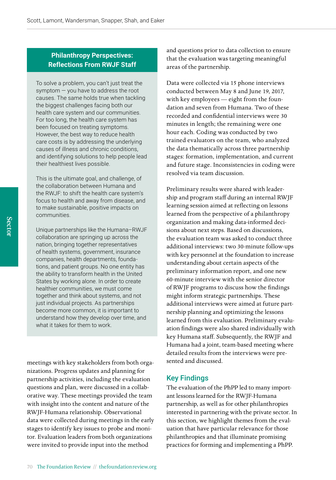## **Philanthropy Perspectives: Reflections From RWJF Staff**

To solve a problem, you can't just treat the symptom — you have to address the root causes. The same holds true when tackling the biggest challenges facing both our health care system and our communities. For too long, the health care system has been focused on treating symptoms. However, the best way to reduce health care costs is by addressing the underlying causes of illness and chronic conditions, and identifying solutions to help people lead their healthiest lives possible.

This is the ultimate goal, and challenge, of the collaboration between Humana and the RWJF: to shift the health care system's focus to health and away from disease, and to make sustainable, positive impacts on communities.

Unique partnerships like the Humana–RWJF collaboration are springing up across the nation, bringing together representatives of health systems, government, insurance companies, health departments, foundations, and patient groups. No one entity has the ability to transform health in the United States by working alone. In order to create healthier communities, we must come together and think about systems, and not just individual projects. As partnerships become more common, it is important to understand how they develop over time, and what it takes for them to work.

meetings with key stakeholders from both organizations. Progress updates and planning for partnership activities, including the evaluation questions and plan, were discussed in a collaborative way. These meetings provided the team with insight into the content and nature of the RWJF-Humana relationship. Observational data were collected during meetings in the early stages to identify key issues to probe and monitor. Evaluation leaders from both organizations were invited to provide input into the method

and questions prior to data collection to ensure that the evaluation was targeting meaningful areas of the partnership.

Data were collected via 15 phone interviews conducted between May 8 and June 19, 2017, with key employees — eight from the foundation and seven from Humana. Two of these recorded and confidential interviews were 30 minutes in length; the remaining were one hour each. Coding was conducted by two trained evaluators on the team, who analyzed the data thematically across three partnership stages: formation, implementation, and current and future stage. Inconsistencies in coding were resolved via team discussion.

Preliminary results were shared with leadership and program staff during an internal RWJF learning session aimed at reflecting on lessons learned from the perspective of a philanthropy organization and making data-informed decisions about next steps. Based on discussions, the evaluation team was asked to conduct three additional interviews: two 30-minute follow-ups with key personnel at the foundation to increase understanding about certain aspects of the preliminary information report, and one new 60-minute interview with the senior director of RWJF programs to discuss how the findings might inform strategic partnerships. These additional interviews were aimed at future partnership planning and optimizing the lessons learned from this evaluation. Preliminary evaluation findings were also shared individually with key Humana staff. Subsequently, the RWJF and Humana had a joint, team-based meeting where detailed results from the interviews were presented and discussed.

## Key Findings

The evaluation of the PhPP led to many important lessons learned for the RWJF-Humana partnership, as well as for other philanthropies interested in partnering with the private sector. In this section, we highlight themes from the evaluation that have particular relevance for those philanthropies and that illuminate promising practices for forming and implementing a PhPP.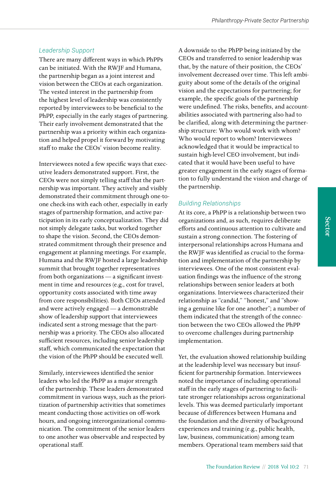#### *Leadership Support*

There are many different ways in which PhPPs can be initiated. With the RWJF and Humana, the partnership began as a joint interest and vision between the CEOs at each organization. The vested interest in the partnership from the highest level of leadership was consistently reported by interviewees to be beneficial to the PhPP, especially in the early stages of partnering. Their early involvement demonstrated that the partnership was a priority within each organization and helped propel it forward by motivating staff to make the CEOs' vision become reality.

Interviewees noted a few specific ways that executive leaders demonstrated support. First, the CEOs were not simply telling staff that the partnership was important. They actively and visibly demonstrated their commitment through one-toone check-ins with each other, especially in early stages of partnership formation, and active participation in its early conceptualization. They did not simply delegate tasks, but worked together to shape the vision. Second, the CEOs demonstrated commitment through their presence and engagement at planning meetings. For example, Humana and the RWJF hosted a large leadership summit that brought together representatives from both organizations — a significant investment in time and resources (e.g., cost for travel, opportunity costs associated with time away from core responsibilities). Both CEOs attended and were actively engaged — a demonstrable show of leadership support that interviewees indicated sent a strong message that the partnership was a priority. The CEOs also allocated sufficient resources, including senior leadership staff, which communicated the expectation that the vision of the PhPP should be executed well.

Similarly, interviewees identified the senior leaders who led the PhPP as a major strength of the partnership. These leaders demonstrated commitment in various ways, such as the prioritization of partnership activities that sometimes meant conducting those activities on off-work hours, and ongoing interorganizational communication. The commitment of the senior leaders to one another was observable and respected by operational staff.

A downside to the PhPP being initiated by the CEOs and transferred to senior leadership was that, by the nature of their position, the CEOs' involvement decreased over time. This left ambiguity about some of the details of the original vision and the expectations for partnering; for example, the specific goals of the partnership were undefined. The risks, benefits, and accountabilities associated with partnering also had to be clarified, along with determining the partnership structure: Who would work with whom? Who would report to whom? Interviewees acknowledged that it would be impractical to sustain high-level CEO involvement, but indicated that it would have been useful to have greater engagement in the early stages of formation to fully understand the vision and charge of the partnership.

#### *Building Relationships*

At its core, a PhPP is a relationship between two organizations and, as such, requires deliberate efforts and continuous attention to cultivate and sustain a strong connection. The fostering of interpersonal relationships across Humana and the RWJF was identified as crucial to the formation and implementation of the partnership by interviewees. One of the most consistent evaluation findings was the influence of the strong relationships between senior leaders at both organizations. Interviewees characterized their relationship as "candid," "honest," and "showing a genuine like for one another"; a number of them indicated that the strength of the connection between the two CEOs allowed the PhPP to overcome challenges during partnership implementation.

Yet, the evaluation showed relationship building at the leadership level was necessary but insufficient for partnership formation. Interviewees noted the importance of including operational staff in the early stages of partnering to facilitate stronger relationships across organizational levels. This was deemed particularly important because of differences between Humana and the foundation and the diversity of background experiences and training (e.g., public health, law, business, communication) among team members. Operational team members said that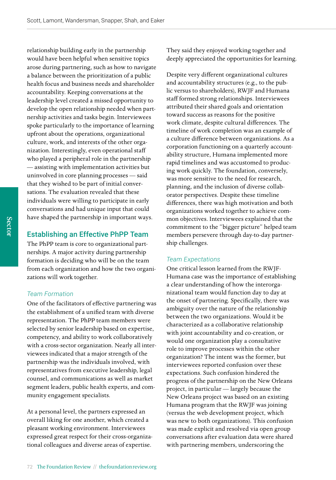relationship building early in the partnership would have been helpful when sensitive topics arose during partnering, such as how to navigate a balance between the prioritization of a public health focus and business needs and shareholder accountability. Keeping conversations at the leadership level created a missed opportunity to develop the open relationship needed when partnership activities and tasks begin. Interviewees spoke particularly to the importance of learning upfront about the operations, organizational culture, work, and interests of the other organization. Interestingly, even operational staff who played a peripheral role in the partnership — assisting with implementation activities but uninvolved in core planning processes — said that they wished to be part of initial conversations. The evaluation revealed that these individuals were willing to participate in early conversations and had unique input that could have shaped the partnership in important ways.

#### Establishing an Effective PhPP Team

The PhPP team is core to organizational partnerships. A major activity during partnership formation is deciding who will be on the team from each organization and how the two organizations will work together.

#### *Team Formation*

One of the facilitators of effective partnering was the establishment of a unified team with diverse representation. The PhPP team members were selected by senior leadership based on expertise, competency, and ability to work collaboratively with a cross-sector organization. Nearly all interviewees indicated that a major strength of the partnership was the individuals involved, with representatives from executive leadership, legal counsel, and communications as well as market segment leaders, public health experts, and community engagement specialists.

At a personal level, the partners expressed an overall liking for one another, which created a pleasant working environment. Interviewees expressed great respect for their cross-organizational colleagues and diverse areas of expertise.

They said they enjoyed working together and deeply appreciated the opportunities for learning.

Despite very different organizational cultures and accountability structures (e.g., to the public versus to shareholders), RWJF and Humana staff formed strong relationships. Interviewees attributed their shared goals and orientation toward success as reasons for the positive work climate, despite cultural differences. The timeline of work completion was an example of a culture difference between organizations. As a corporation functioning on a quarterly accountability structure, Humana implemented more rapid timelines and was accustomed to producing work quickly. The foundation, conversely, was more sensitive to the need for research, planning, and the inclusion of diverse collaborator perspectives. Despite these timeline differences, there was high motivation and both organizations worked together to achieve common objectives. Interviewees explained that the commitment to the "bigger picture" helped team members persevere through day-to-day partnership challenges.

#### *Team Expectations*

One critical lesson learned from the RWJF-Humana case was the importance of establishing a clear understanding of how the interorganizational team would function day to day at the onset of partnering. Specifically, there was ambiguity over the nature of the relationship between the two organizations. Would it be characterized as a collaborative relationship with joint accountability and co-creation, or would one organization play a consultative role to improve processes within the other organization? The intent was the former, but interviewees reported confusion over these expectations. Such confusion hindered the progress of the partnership on the New Orleans project, in particular — largely because the New Orleans project was based on an existing Humana program that the RWJF was joining (versus the web development project, which was new to both organizations). This confusion was made explicit and resolved via open group conversations after evaluation data were shared with partnering members, underscoring the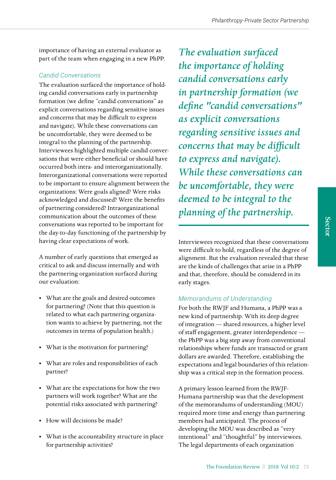importance of having an external evaluator as part of the team when engaging in a new PhPP.

## *Candid Conversations*

The evaluation surfaced the importance of holding candid conversations early in partnership formation (we define "candid conversations" as explicit conversations regarding sensitive issues and concerns that may be difficult to express and navigate). While these conversations can be uncomfortable, they were deemed to be integral to the planning of the partnership. Interviewees highlighted multiple candid conversations that were either beneficial or should have occurred both intra- and interorganizationally. Interorganizational conversations were reported to be important to ensure alignment between the organizations: Were goals aligned? Were risks acknowledged and discussed? Were the benefits of partnering considered? Intraorganizational communication about the outcomes of these conversations was reported to be important for the day-to-day functioning of the partnership by having clear expectations of work.

A number of early questions that emerged as critical to ask and discuss internally and with the partnering organization surfaced during our evaluation:

- What are the goals and desired outcomes for partnering? (Note that this question is related to what each partnering organization wants to achieve by partnering, not the outcomes in terms of population health.)
- What is the motivation for partnering?
- What are roles and responsibilities of each partner?
- What are the expectations for how the two partners will work together? What are the potential risks associated with partnering?
- How will decisions be made?
- What is the accountability structure in place for partnership activities?

*The evaluation surfaced the importance of holding candid conversations early in partnership formation (we define "candid conversations" as explicit conversations regarding sensitive issues and concerns that may be difficult to express and navigate). While these conversations can be uncomfortable, they were deemed to be integral to the planning of the partnership.* 

Interviewees recognized that these conversations were difficult to hold, regardless of the degree of alignment. But the evaluation revealed that these are the kinds of challenges that arise in a PhPP and that, therefore, should be considered in its early stages.

## *Memorandums of Understanding*

For both the RWJF and Humana, a PhPP was a new kind of partnership. With its deep degree of integration — shared resources, a higher level of staff engagement, greater interdependence the PhPP was a big step away from conventional relationships where funds are transacted or grant dollars are awarded. Therefore, establishing the expectations and legal boundaries of this relationship was a critical step in the formation process.

A primary lesson learned from the RWJF-Humana partnership was that the development of the memorandums of understanding (MOU) required more time and energy than partnering members had anticipated. The process of developing the MOU was described as "very intentional" and "thoughtful" by interviewees. The legal departments of each organization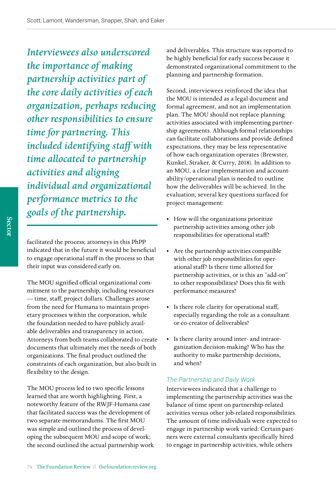*Interviewees also underscored the importance of making partnership activities part of the core daily activities of each organization, perhaps reducing other responsibilities to ensure time for partnering. This included identifying staff with time allocated to partnership activities and aligning individual and organizational performance metrics to the goals of the partnership.*

facilitated the process; attorneys in this PhPP indicated that in the future it would be beneficial to engage operational staff in the process so that their input was considered early on.

The MOU signified official organizational commitment to the partnership, including resources — time, staff, project dollars. Challenges arose from the need for Humana to maintain proprietary processes within the corporation, while the foundation needed to have publicly available deliverables and transparency in action. Attorneys from both teams collaborated to create documents that ultimately met the needs of both organizations. The final product outlined the constraints of each organization, but also built in flexibility to the design.

The MOU process led to two specific lessons learned that are worth highlighting. First, a noteworthy feature of the RWJF-Humana case that facilitated success was the development of two separate memorandums. The first MOU was simple and outlined the process of developing the subsequent MOU and scope of work; the second outlined the actual partnership work and deliverables. This structure was reported to be highly beneficial for early success because it demonstrated organizational commitment to the planning and partnership formation.

Second, interviewees reinforced the idea that the MOU is intended as a legal document and formal agreement, and not an implementation plan. The MOU should not replace planning activities associated with implementing partnership agreements. Although formal relationships can facilitate collaborations and provide defined expectations, they may be less representative of how each organization operates (Brewster, Kunkel, Straker, & Curry, 2018). In addition to an MOU, a clear implementation and accountability/operational plan is needed to outline how the deliverables will be achieved. In the evaluation, several key questions surfaced for project management:

- How will the organizations prioritize partnership activities among other job responsibilities for operational staff?
- Are the partnership activities compatible with other job responsibilities for operational staff? Is there time allotted for partnership activities, or is this an "add-on" to other responsibilities? Does this fit with performance measures?
- Is there role clarity for operational staff, especially regarding the role as a consultant or co-creator of deliverables?
- Is there clarity around inter- and intraorganization decision-making? Who has the authority to make partnership decisions, and when?

#### *The Partnership and Daily Work*

Interviewees indicated that a challenge to implementing the partnership activities was the balance of time spent on partnership-related activities versus other job-related responsibilities. The amount of time individuals were expected to engage in partnership work varied: Certain partners were external consultants specifically hired to engage in partnership activities, while others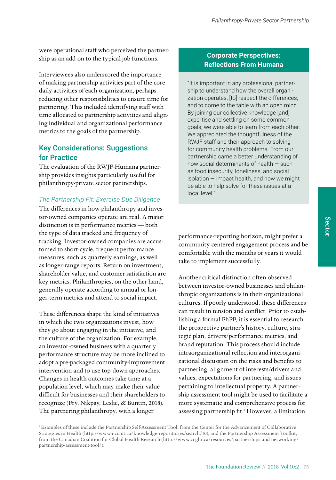were operational staff who perceived the partnership as an add-on to the typical job functions.

Interviewees also underscored the importance of making partnership activities part of the core daily activities of each organization, perhaps reducing other responsibilities to ensure time for partnering. This included identifying staff with time allocated to partnership activities and aligning individual and organizational performance metrics to the goals of the partnership.

## Key Considerations: Suggestions for Practice

The evaluation of the RWJF-Humana partnership provides insights particularly useful for philanthropy-private sector partnerships.

## *The Partnership Fit: Exercise Due Diligence*

The differences in how philanthropy and investor-owned companies operate are real. A major distinction is in performance metrics — both the type of data tracked and frequency of tracking. Investor-owned companies are accustomed to short-cycle, frequent performance measures, such as quarterly earnings, as well as longer-range reports. Return on investment, shareholder value, and customer satisfaction are key metrics. Philanthropies, on the other hand, generally operate according to annual or longer-term metrics and attend to social impact.

These differences shape the kind of initiatives in which the two organizations invest, how they go about engaging in the initiative, and the culture of the organization. For example, an investor-owned business with a quarterly performance structure may be more inclined to adopt a pre-packaged community-improvement intervention and to use top-down approaches. Changes in health outcomes take time at a population level, which may make their value difficult for businesses and their shareholders to recognize (Fry, Nikpay, Leslie, & Buntin, 2018). The partnering philanthropy, with a longer

## **Corporate Perspectives: Reflections From Humana**

"It is important in any professional partnership to understand how the overall organization operates, [to] respect the differences, and to come to the table with an open mind. By joining our collective knowledge [and] expertise and settling on some common goals, we were able to learn from each other. We appreciated the thoughtfulness of the RWJF staff and their approach to solving for community health problems. From our partnership came a better understanding of how social determinants of health — such as food insecurity, loneliness, and social  $isolation – impact health, and how we might$ be able to help solve for these issues at a local level."

performance-reporting horizon, might prefer a community-centered engagement process and be comfortable with the months or years it would take to implement successfully.

Another critical distinction often observed between investor-owned businesses and philanthropic organizations is in their organizational cultures. If poorly understood, these differences can result in tension and conflict. Prior to establishing a formal PhPP, it is essential to research the prospective partner's history, culture, strategic plan, drivers/performance metrics, and brand reputation. This process should include intraorganizational reflection and interorganizational discussion on the risks and benefits to partnering, alignment of interests/drivers and values, expectations for partnering, and issues pertaining to intellectual property. A partnership assessment tool might be used to facilitate a more systematic and comprehensive process for assessing partnership fit.<sup>1</sup> However, a limitation

<sup>1</sup> Examples of these include the Partnership Self-Assessment Tool, from the Center for the Advancement of Collaborative Strategies in Health [\(http://www.nccmt.ca/knowledge-repositories/search/10\)](http://www.nccmt.ca/knowledge-repositories/search/10); and the Partnership Assessment Toolkit, from the Canadian Coalition for Global Health Research ([http://www.ccghr.ca/resources/partnerships-and-networking/](http://www.ccghr.ca/resources/partnerships-and-networking/partnership-assessment-tool/) [partnership-assessment-tool/](http://www.ccghr.ca/resources/partnerships-and-networking/partnership-assessment-tool/)).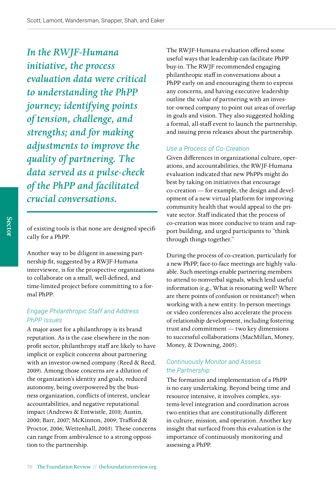*In the RWJF-Humana initiative, the process evaluation data were critical to understanding the PhPP journey; identifying points of tension, challenge, and strengths; and for making adjustments to improve the quality of partnering. The data served as a pulse-check of the PhPP and facilitated crucial conversations.* 

of existing tools is that none are designed specifically for a PhPP.

Another way to be diligent in assessing partnership fit, suggested by a RWJF-Humana interviewee, is for the prospective organizations to collaborate on a small, well-defined, and time-limited project before committing to a formal PhPP.

## *Engage Philanthropic Staff and Address PhPP Issues*

A major asset for a philanthropy is its brand reputation. As is the case elsewhere in the nonprofit sector, philanthropy staff are likely to have implicit or explicit concerns about partnering with an investor-owned company (Reed & Reed, 2009). Among those concerns are a dilution of the organization's identity and goals, reduced autonomy, being overpowered by the business organization, conflicts of interest, unclear accountabilities, and negative reputational impact (Andrews & Entwistle, 2010; Austin, 2000; Barr, 2007; McKinnon, 2009; Trafford & Proctor, 2006; Wettenhall, 2003). These concerns can range from ambivalence to a strong opposition to the partnership.

The RWJF-Humana evaluation offered some useful ways that leadership can facilitate PhPP buy-in. The RWJF recommended engaging philanthropic staff in conversations about a PhPP early on and encouraging them to express any concerns, and having executive leadership outline the value of partnering with an investor-owned company to point out areas of overlap in goals and vision. They also suggested holding a formal, all-staff event to launch the partnership, and issuing press releases about the partnership.

## *Use a Process of Co-Creation*

Given differences in organizational culture, operations, and accountabilities, the RWJF-Humana evaluation indicated that new PhPPs might do best by taking on initiatives that encourage co-creation — for example, the design and development of a new virtual platform for improving community health that would appeal to the private sector. Staff indicated that the process of co-creation was more conducive to team and rapport building, and urged participants to "think through things together."

During the process of co-creation, particularly for a new PhPP, face-to-face meetings are highly valuable. Such meetings enable partnering members to attend to nonverbal signals, which lend useful information (e.g., What is resonating well? Where are there points of confusion or resistance?) when working with a new entity. In-person meetings or video conferences also accelerate the process of relationship development, including fostering trust and commitment — two key dimensions to successful collaborations (MacMillan, Money, Money, & Downing, 2005).

## *Continuously Monitor and Assess the Partnership*

The formation and implementation of a PhPP is no easy undertaking. Beyond being time and resource intensive, it involves complex, systems-level integration and coordination across two entities that are constitutionally different in culture, mission, and operation. Another key insight that surfaced from this evaluation is the importance of continuously monitoring and assessing a PhPP.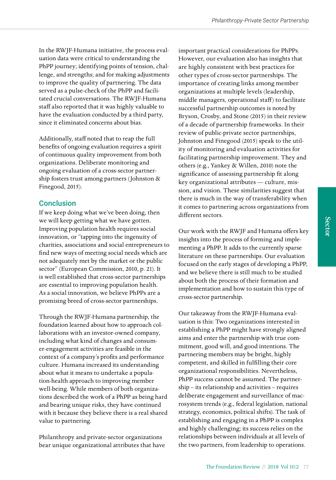In the RWJF-Humana initiative, the process evaluation data were critical to understanding the PhPP journey; identifying points of tension, challenge, and strengths; and for making adjustments to improve the quality of partnering. The data served as a pulse-check of the PhPP and facilitated crucial conversations. The RWJF-Humana staff also reported that it was highly valuable to have the evaluation conducted by a third party, since it eliminated concerns about bias.

Additionally, staff noted that to reap the full benefits of ongoing evaluation requires a spirit of continuous quality improvement from both organizations. Deliberate monitoring and ongoing evaluation of a cross-sector partnership fosters trust among partners (Johnston & Finegood, 2015).

## **Conclusion**

If we keep doing what we've been doing, then we will keep getting what we have gotten. Improving population health requires social innovation, or "tapping into the ingenuity of charities, associations and social entrepreneurs to find new ways of meeting social needs which are not adequately met by the market or the public sector" (European Commission, 2010, p. 21). It is well established that cross-sector partnerships are essential to improving population health. As a social innovation, we believe PhPPs are a promising breed of cross-sector partnerships.

Through the RWJF-Humana partnership, the foundation learned about how to approach collaborations with an investor-owned company, including what kind of changes and consumer-engagement activities are feasible in the context of a company's profits and performance culture. Humana increased its understanding about what it means to undertake a population-health approach to improving member well-being. While members of both organizations described the work of a PhPP as being hard and bearing unique risks, they have continued with it because they believe there is a real shared value to partnering.

Philanthropy and private-sector organizations bear unique organizational attributes that have important practical considerations for PhPPs. However, our evaluation also has insights that are highly consistent with best practices for other types of cross-sector partnerships. The importance of creating links among member organizations at multiple levels (leadership, middle managers, operational staff) to facilitate successful partnership outcomes is noted by Bryson, Crosby, and Stone (2015) in their review of a decade of partnership frameworks. In their review of public-private sector partnerships, Johnston and Finegood (2015) speak to the utility of monitoring and evaluation activities for facilitating partnership improvement. They and others (e.g., Yankey & Willen, 2010) note the significance of assessing partnership fit along key organizational attributes — culture, mission, and vision. These similarities suggest that there is much in the way of transferability when it comes to partnering across organizations from different sectors.

Our work with the RWJF and Humana offers key insights into the process of forming and implementing a PhPP. It adds to the currently sparse literature on these partnerships. Our evaluation focused on the early stages of developing a PhPP, and we believe there is still much to be studied about both the process of their formation and implementation and how to sustain this type of cross-sector partnership.

Our takeaway from the RWJF-Humana evaluation is this: Two organizations interested in establishing a PhPP might have strongly aligned aims and enter the partnership with true commitment, good will, and good intentions. The partnering members may be bright, highly competent, and skilled in fulfilling their core organizational responsibilities. Nevertheless, PhPP success cannot be assumed. The partnership – its relationship and activities – requires deliberate engagement and surveillance of macrosystem trends (e.g., federal legislation, national strategy, economics, political shifts). The task of establishing and engaging in a PhPP is complex and highly challenging; its success relies on the relationships between individuals at all levels of the two partners, from leadership to operations.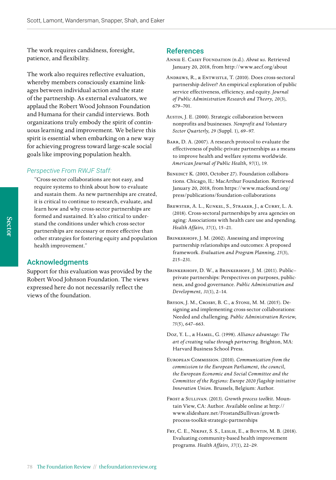The work requires candidness, foresight, patience, and flexibility.

The work also requires reflective evaluation, whereby members consciously examine linkages between individual action and the state of the partnership. As external evaluators, we applaud the Robert Wood Johnson Foundation and Humana for their candid interviews. Both organizations truly embody the spirit of continuous learning and improvement. We believe this spirit is essential when embarking on a new way for achieving progress toward large-scale social goals like improving population health.

#### *Perspective From RWJF Staff:*

"Cross-sector collaborations are not easy, and require systems to think about how to evaluate and sustain them. As new partnerships are created, it is critical to continue to research, evaluate, and learn how and why cross-sector partnerships are formed and sustained. It's also critical to understand the conditions under which cross-sector partnerships are necessary or more effective than other strategies for fostering equity and population health improvement."

#### Acknowledgments

Support for this evaluation was provided by the Robert Wood Johnson Foundation. The views expressed here do not necessarily reflect the views of the foundation.

#### References

- Annie E. Casey Foundation (n.d.). *About us.* Retrieved January 20, 2018, from<http://www.aecf.org/about>
- Andrews, R., & Entwistle, T. (2010). Does cross-sectoral partnership deliver? An empirical exploration of public service effectiveness, efficiency, and equity. *Journal of Public Administration Research and Theory, 20*(3), 679–701.
- Austin, J. E. (2000). Strategic collaboration between nonprofits and businesses. *Nonprofit and Voluntary Sector Quarterly, 29* (Suppl. 1), 69–97.
- BARR, D. A. (2007). A research protocol to evaluate the effectiveness of public-private partnerships as a means to improve health and welfare systems worldwide. *American Journal of Public Health, 97*(1), 19.
- BENEDICT K. (2003, October 27). Foundation collaborations. Chicago, IL: MacArthur Foundation. Retrieved January 20, 2018, from [https://www.macfound.org/](https://www.macfound.org/press/publications/foundation-collaborations) [press/publications/foundation-collaborations](https://www.macfound.org/press/publications/foundation-collaborations)
- Brewster, A. L., Kunkel, S., Straker, J., & Curry, L. A. (2018). Cross-sectoral partnerships by area agencies on aging: Associations with health care use and spending. *Health Affairs, 37*(1), 15–21.
- BRINKERHOFF, J. M. (2002). Assessing and improving partnership relationships and outcomes: A proposed framework. *Evaluation and Program Planning, 25*(3), 215–231.
- BRINKERHOFF, D. W., & BRINKERHOFF, J. M. (2011). Publicprivate partnerships: Perspectives on purposes, publicness, and good governance. *Public Administration and Development, 31*(1), 2–14.
- Bryson, J. M., Crosby, B. C., & Stone, M. M. (2015). Designing and implementing cross-sector collaborations: Needed and challenging. *Public Administration Review, 75*(5), 647–663.
- Doz, Y. L., & Hamel, G. (1998). *Alliance advantage: The art of creating value through partnering.* Brighton, MA: Harvard Business School Press.
- European Commission. (2010). *Communication from the commission to the European Parliament, the council, the European Economic and Social Committee and the Committee of the Regions: Europe 2020 f lagship initiative Innovation Union.* Brussels, Belgium: Author.
- Frost & Sullivan. (2013). *Growth process toolkit.* Mountain View, CA: Author. Available online at [http://](http://www.slideshare.net/FrostandSullivan/growth-process-toolkit-strategic-partnerships) [www.slideshare.net/FrostandSullivan/growth](http://www.slideshare.net/FrostandSullivan/growth-process-toolkit-strategic-partnerships)[process-toolkit-strategic-partnerships](http://www.slideshare.net/FrostandSullivan/growth-process-toolkit-strategic-partnerships)
- Fry, C. E., Nikpay, S. S., Leslie, E., & Buntin, M. B. (2018). Evaluating community-based health improvement programs. *Health Affairs, 37*(1), 22–29.